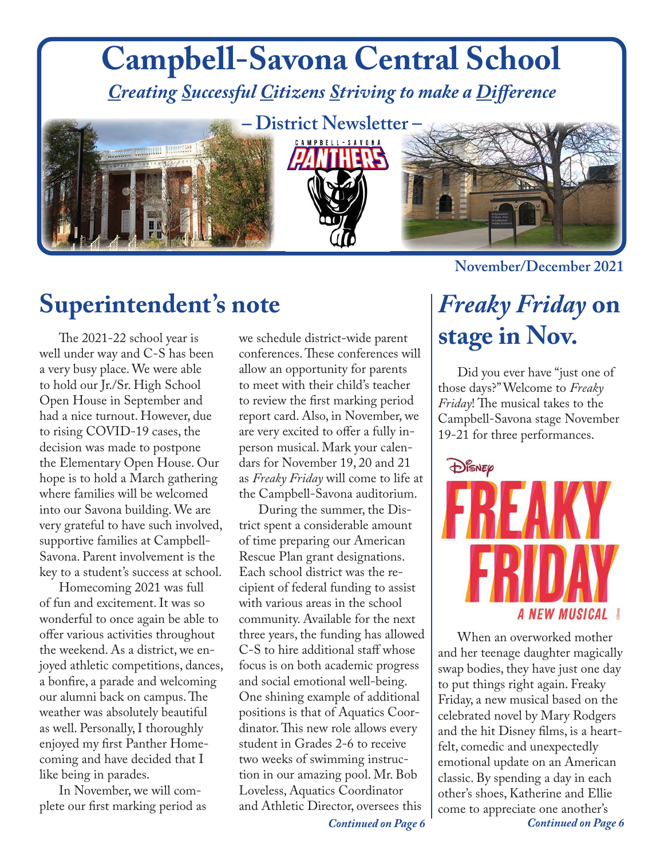## **November/December 2021 Campbell-Savona Central School** *Creating Successful Citizens Striving to make a Difference –* **District Newsletter –**

### **Superintendent's note**

The 2021-22 school year is well under way and C-S has been a very busy place. We were able to hold our Jr./Sr. High School Open House in September and had a nice turnout. However, due to rising COVID-19 cases, the decision was made to postpone the Elementary Open House. Our hope is to hold a March gathering where families will be welcomed into our Savona building. We are very grateful to have such involved, supportive families at Campbell-Savona. Parent involvement is the key to a student's success at school.

Homecoming 2021 was full of fun and excitement. It was so wonderful to once again be able to offer various activities throughout the weekend. As a district, we enjoyed athletic competitions, dances, a bonfire, a parade and welcoming our alumni back on campus. The weather was absolutely beautiful as well. Personally, I thoroughly enjoyed my first Panther Homecoming and have decided that I like being in parades.

In November, we will complete our first marking period as we schedule district-wide parent conferences. These conferences will allow an opportunity for parents to meet with their child's teacher to review the first marking period report card. Also, in November, we are very excited to offer a fully inperson musical. Mark your calendars for November 19, 20 and 21 as *Freaky Friday* will come to life at the Campbell-Savona auditorium.

During the summer, the District spent a considerable amount of time preparing our American Rescue Plan grant designations. Each school district was the recipient of federal funding to assist with various areas in the school community. Available for the next three years, the funding has allowed C-S to hire additional staff whose focus is on both academic progress and social emotional well-being. One shining example of additional positions is that of Aquatics Coordinator. This new role allows every student in Grades 2-6 to receive two weeks of swimming instruction in our amazing pool. Mr. Bob Loveless, Aquatics Coordinator and Athletic Director, oversees this

#### *Continued on Page 6*

### *Freaky Friday* **on stage in Nov.**

Did you ever have "just one of those days?" Welcome to *Freaky Friday*! The musical takes to the Campbell-Savona stage November 19-21 for three performances.



When an overworked mother and her teenage daughter magically swap bodies, they have just one day to put things right again. Freaky Friday, a new musical based on the celebrated novel by Mary Rodgers and the hit Disney films, is a heartfelt, comedic and unexpectedly emotional update on an American classic. By spending a day in each other's shoes, Katherine and Ellie come to appreciate one another's

*Continued on Page 6*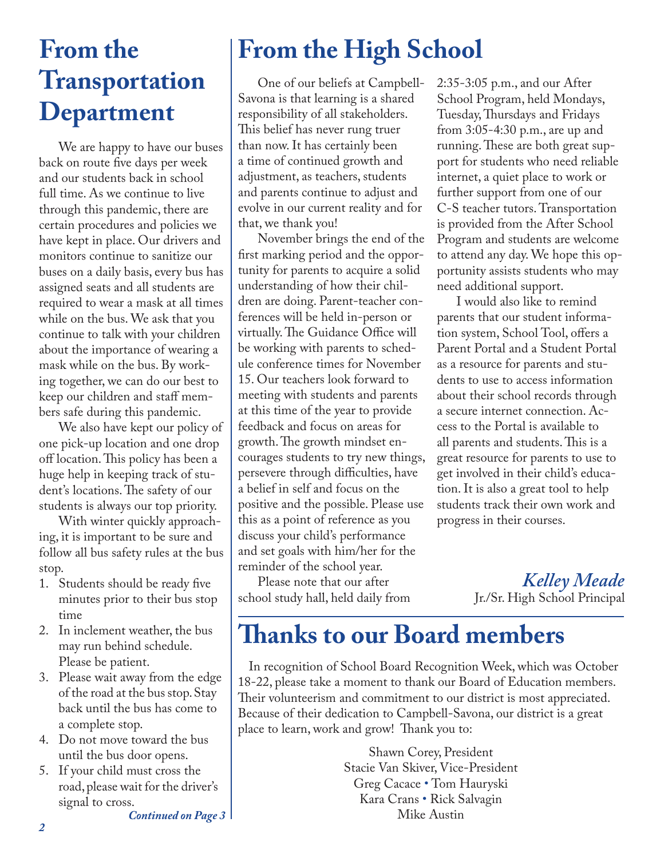### **From the Transportation Department**

We are happy to have our buses back on route five days per week and our students back in school full time. As we continue to live through this pandemic, there are certain procedures and policies we have kept in place. Our drivers and monitors continue to sanitize our buses on a daily basis, every bus has assigned seats and all students are required to wear a mask at all times while on the bus. We ask that you continue to talk with your children about the importance of wearing a mask while on the bus. By working together, we can do our best to keep our children and staff members safe during this pandemic.

We also have kept our policy of one pick-up location and one drop off location. This policy has been a huge help in keeping track of student's locations. The safety of our students is always our top priority.

With winter quickly approaching, it is important to be sure and follow all bus safety rules at the bus stop.

- 1. Students should be ready five minutes prior to their bus stop time
- 2. In inclement weather, the bus may run behind schedule. Please be patient.
- 3. Please wait away from the edge of the road at the bus stop. Stay back until the bus has come to a complete stop.
- 4. Do not move toward the bus until the bus door opens.
- 5. If your child must cross the road, please wait for the driver's signal to cross.

*Continued on Page 3*

### **From the High School**

One of our beliefs at Campbell-Savona is that learning is a shared responsibility of all stakeholders. This belief has never rung truer than now. It has certainly been a time of continued growth and adjustment, as teachers, students and parents continue to adjust and evolve in our current reality and for that, we thank you!

November brings the end of the first marking period and the opportunity for parents to acquire a solid understanding of how their children are doing. Parent-teacher conferences will be held in-person or virtually. The Guidance Office will be working with parents to schedule conference times for November 15. Our teachers look forward to meeting with students and parents at this time of the year to provide feedback and focus on areas for growth. The growth mindset encourages students to try new things, persevere through difficulties, have a belief in self and focus on the positive and the possible. Please use this as a point of reference as you discuss your child's performance and set goals with him/her for the reminder of the school year.

Please note that our after school study hall, held daily from 2:35-3:05 p.m., and our After School Program, held Mondays, Tuesday, Thursdays and Fridays from 3:05-4:30 p.m., are up and running. These are both great support for students who need reliable internet, a quiet place to work or further support from one of our C-S teacher tutors. Transportation is provided from the After School Program and students are welcome to attend any day. We hope this opportunity assists students who may need additional support.

I would also like to remind parents that our student information system, School Tool, offers a Parent Portal and a Student Portal as a resource for parents and students to use to access information about their school records through a secure internet connection. Access to the Portal is available to all parents and students. This is a great resource for parents to use to get involved in their child's education. It is also a great tool to help students track their own work and progress in their courses.

> *Kelley Meade* Jr./Sr. High School Principal

#### **Thanks to our Board members**

In recognition of School Board Recognition Week, which was October 18-22, please take a moment to thank our Board of Education members. Their volunteerism and commitment to our district is most appreciated. Because of their dedication to Campbell-Savona, our district is a great place to learn, work and grow! Thank you to:

> Shawn Corey, President Stacie Van Skiver, Vice-President Greg Cacace • Tom Hauryski Kara Crans • Rick Salvagin Mike Austin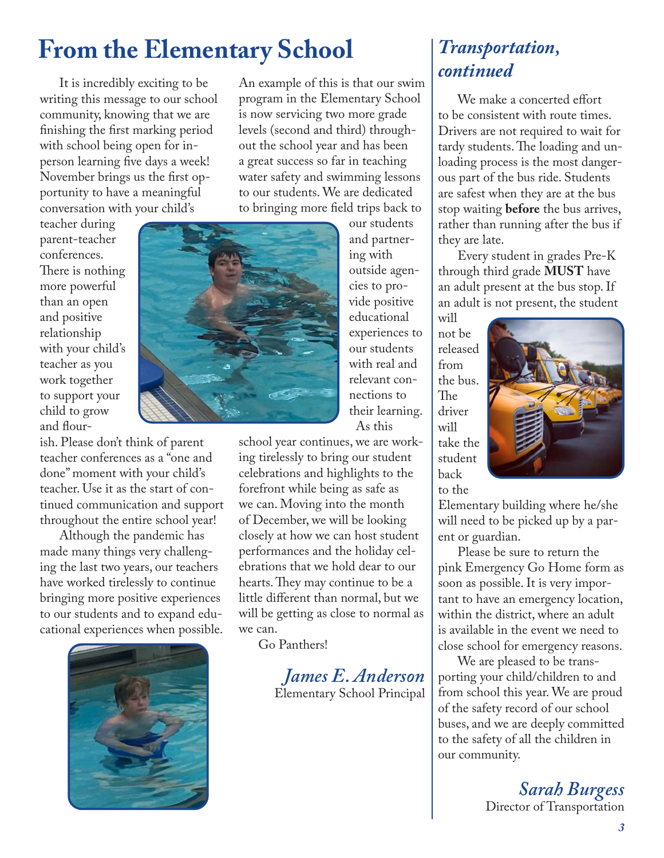#### **From the Elementary School**

It is incredibly exciting to be writing this message to our school community, knowing that we are finishing the first marking period with school being open for inperson learning five days a week! November brings us the first opportunity to have a meaningful conversation with your child's

teacher during parent-teacher conferences. There is nothing more powerful than an open and positive relationship with your child's teacher as you work together to support your child to grow and flour-

ish. Please don't think of parent teacher conferences as a "one and done" moment with your child's teacher. Use it as the start of continued communication and support throughout the entire school year!

Although the pandemic has made many things very challenging the last two years, our teachers have worked tirelessly to continue bringing more positive experiences to our students and to expand educational experiences when possible.



An example of this is that our swim program in the Elementary School is now servicing two more grade levels (second and third) throughout the school year and has been a great success so far in teaching water safety and swimming lessons to our students. We are dedicated to bringing more field trips back to

> our students and partnering with outside agencies to provide positive educational experiences to our students with real and relevant connections to their learning. As this

school year continues, we are working tirelessly to bring our student celebrations and highlights to the forefront while being as safe as we can. Moving into the month of December, we will be looking closely at how we can host student performances and the holiday celebrations that we hold dear to our hearts. They may continue to be a little different than normal, but we will be getting as close to normal as we can.

Go Panthers!

*James E. Anderson* Elementary School Principal

#### *Transportation, continued*

We make a concerted effort to be consistent with route times. Drivers are not required to wait for tardy students. The loading and unloading process is the most dangerous part of the bus ride. Students are safest when they are at the bus stop waiting **before** the bus arrives, rather than running after the bus if they are late.

Every student in grades Pre-K through third grade **MUST** have an adult present at the bus stop. If an adult is not present, the student

will not be released from the bus. The driver will take the student back to the



Elementary building where he/she will need to be picked up by a parent or guardian.

Please be sure to return the pink Emergency Go Home form as soon as possible. It is very important to have an emergency location, within the district, where an adult is available in the event we need to close school for emergency reasons.

We are pleased to be transporting your child/children to and from school this year. We are proud of the safety record of our school buses, and we are deeply committed to the safety of all the children in our community.

> *Sarah Burgess* Director of Transportation

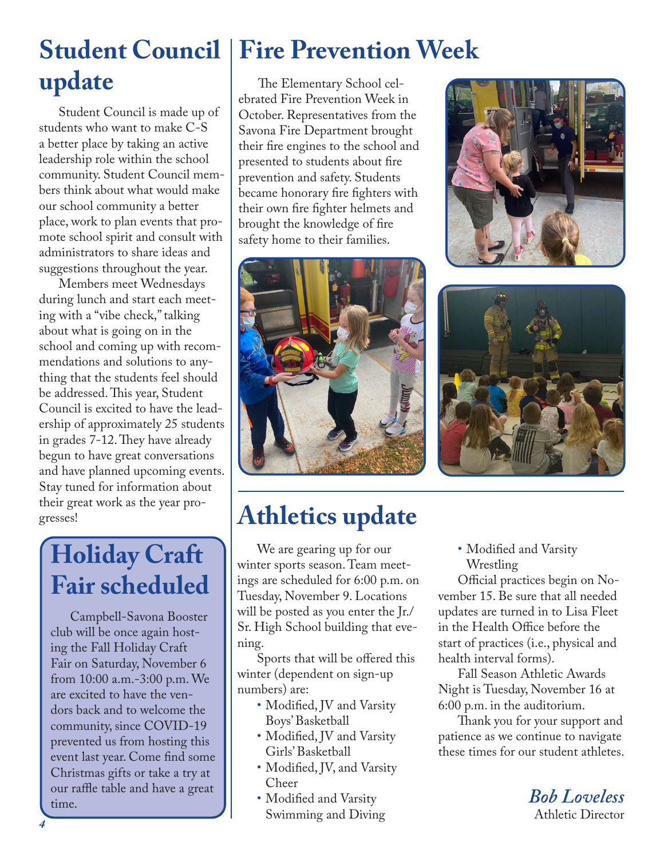# **update**

Student Council is made up of students who want to make C-S a better place by taking an active leadership role within the school community. Student Council members think about what would make our school community a better place, work to plan events that promote school spirit and consult with administrators to share ideas and suggestions throughout the year.

Members meet Wednesdays during lunch and start each meeting with a "vibe check," talking about what is going on in the school and coming up with recommendations and solutions to anything that the students feel should be addressed. This year, Student Council is excited to have the leadership of approximately 25 students in grades 7-12. They have already begun to have great conversations and have planned upcoming events. Stay tuned for information about their great work as the year progresses!

### **Holiday Craft Fair scheduled**

Campbell-Savona Booster club will be once again hosting the Fall Holiday Craft Fair on Saturday, November 6 from 10:00 a.m.-3:00 p.m. We are excited to have the vendors back and to welcome the community, since COVID-19 prevented us from hosting this event last year. Come find some Christmas gifts or take a try at our raffle table and have a great <sup>our raine table and have a great</sup>  $\begin{array}{c|c} \hline \text{I} & \text{Modified and Varsity} \end{array}$  **Bob Loveless** 

## **Student Council | Fire Prevention Week**

The Elementary School celebrated Fire Prevention Week in October. Representatives from the Savona Fire Department brought their fire engines to the school and presented to students about fire prevention and safety. Students became honorary fire fighters with their own fire fighter helmets and brought the knowledge of fire safety home to their families.







### **Athletics update**

We are gearing up for our winter sports season. Team meetings are scheduled for 6:00 p.m. on Tuesday, November 9. Locations will be posted as you enter the Jr./ Sr. High School building that evening.

Sports that will be offered this winter (dependent on sign-up numbers) are:

- Modified, JV and Varsity Boys' Basketball
- Modified, JV and Varsity Girls' Basketball
- Modified, JV, and Varsity Cheer
- Swimming and Diving

• Modified and Varsity Wrestling

Official practices begin on November 15. Be sure that all needed updates are turned in to Lisa Fleet in the Health Office before the start of practices (i.e., physical and health interval forms).

Fall Season Athletic Awards Night is Tuesday, November 16 at 6:00 p.m. in the auditorium.

Thank you for your support and patience as we continue to navigate these times for our student athletes.

Athletic Director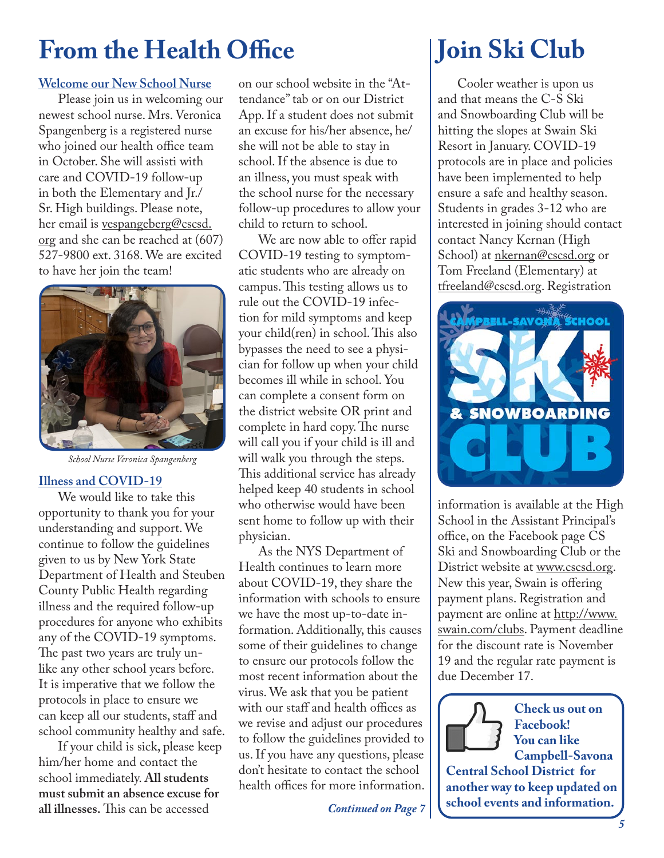### **From the Health Office**

#### **Welcome our New School Nurse**

Please join us in welcoming our newest school nurse. Mrs. Veronica Spangenberg is a registered nurse who joined our health office team in October. She will assisti with care and COVID-19 follow-up in both the Elementary and Jr./ Sr. High buildings. Please note, her email is vespangeberg@cscsd. org and she can be reached at (607) 527-9800 ext. 3168. We are excited to have her join the team!



*School Nurse Veronica Spangenberg*

#### **Illness and COVID-19**

We would like to take this opportunity to thank you for your understanding and support. We continue to follow the guidelines given to us by New York State Department of Health and Steuben County Public Health regarding illness and the required follow-up procedures for anyone who exhibits any of the COVID-19 symptoms. The past two years are truly unlike any other school years before. It is imperative that we follow the protocols in place to ensure we can keep all our students, staff and school community healthy and safe.

If your child is sick, please keep him/her home and contact the school immediately. **All students must submit an absence excuse for all illnesses.** This can be accessed

on our school website in the "Attendance" tab or on our District App. If a student does not submit an excuse for his/her absence, he/ she will not be able to stay in school. If the absence is due to an illness, you must speak with the school nurse for the necessary follow-up procedures to allow your child to return to school.

We are now able to offer rapid COVID-19 testing to symptomatic students who are already on campus. This testing allows us to rule out the COVID-19 infection for mild symptoms and keep your child(ren) in school. This also bypasses the need to see a physician for follow up when your child becomes ill while in school. You can complete a consent form on the district website OR print and complete in hard copy. The nurse will call you if your child is ill and will walk you through the steps. This additional service has already helped keep 40 students in school who otherwise would have been sent home to follow up with their physician.

As the NYS Department of Health continues to learn more about COVID-19, they share the information with schools to ensure we have the most up-to-date information. Additionally, this causes some of their guidelines to change to ensure our protocols follow the most recent information about the virus. We ask that you be patient with our staff and health offices as we revise and adjust our procedures to follow the guidelines provided to us. If you have any questions, please don't hesitate to contact the school health offices for more information.

#### *Continued on Page 7*

### **Join Ski Club**

Cooler weather is upon us and that means the C-S Ski and Snowboarding Club will be hitting the slopes at Swain Ski Resort in January. COVID-19 protocols are in place and policies have been implemented to help ensure a safe and healthy season. Students in grades 3-12 who are interested in joining should contact contact Nancy Kernan (High School) at nkernan@cscsd.org or Tom Freeland (Elementary) at tfreeland@cscsd.org. Registration



information is available at the High School in the Assistant Principal's office, on the Facebook page CS Ski and Snowboarding Club or the District website at www.cscsd.org. New this year, Swain is offering payment plans. Registration and payment are online at http://www. swain.com/clubs. Payment deadline for the discount rate is November 19 and the regular rate payment is due December 17.



**Central School District for another way to keep updated on school events and information.**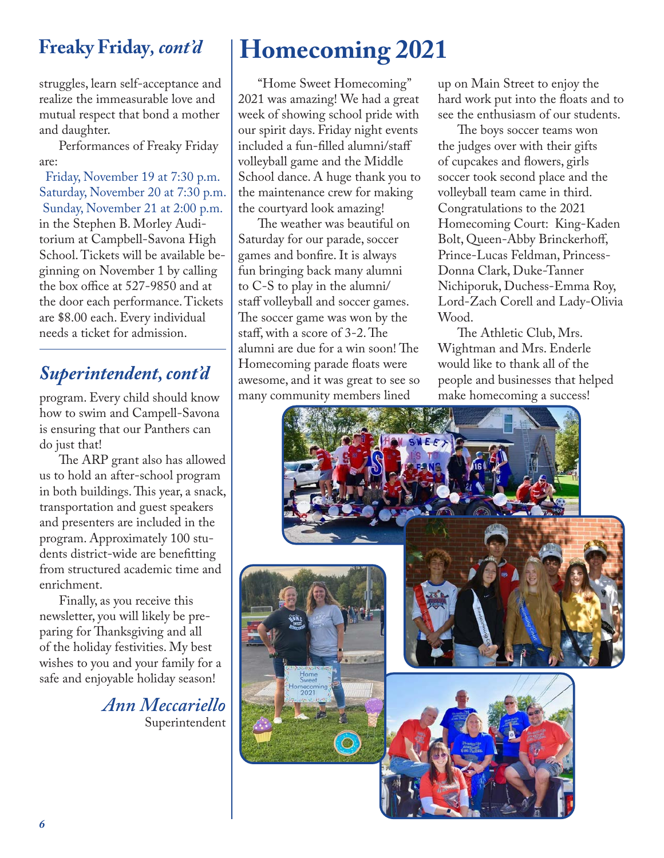#### **Freaky Friday***, cont'd*

struggles, learn self-acceptance and realize the immeasurable love and mutual respect that bond a mother and daughter.

Performances of Freaky Friday are:

Friday, November 19 at 7:30 p.m. Saturday, November 20 at 7:30 p.m. Sunday, November 21 at 2:00 p.m. in the Stephen B. Morley Auditorium at Campbell-Savona High School. Tickets will be available beginning on November 1 by calling the box office at 527-9850 and at the door each performance. Tickets are \$8.00 each. Every individual needs a ticket for admission.

#### *Superintendent, cont'd*

program. Every child should know how to swim and Campell-Savona is ensuring that our Panthers can do just that!

The ARP grant also has allowed us to hold an after-school program in both buildings. This year, a snack, transportation and guest speakers and presenters are included in the program. Approximately 100 students district-wide are benefitting from structured academic time and enrichment.

Finally, as you receive this newsletter, you will likely be preparing for Thanksgiving and all of the holiday festivities. My best wishes to you and your family for a safe and enjoyable holiday season!

> *Ann Meccariello* Superintendent

### **Homecoming 2021**

"Home Sweet Homecoming" 2021 was amazing! We had a great week of showing school pride with our spirit days. Friday night events included a fun-filled alumni/staff volleyball game and the Middle School dance. A huge thank you to the maintenance crew for making the courtyard look amazing!

The weather was beautiful on Saturday for our parade, soccer games and bonfire. It is always fun bringing back many alumni to C-S to play in the alumni/ staff volleyball and soccer games. The soccer game was won by the staff, with a score of 3-2. The alumni are due for a win soon! The Homecoming parade floats were awesome, and it was great to see so many community members lined

up on Main Street to enjoy the hard work put into the floats and to see the enthusiasm of our students.

The boys soccer teams won the judges over with their gifts of cupcakes and flowers, girls soccer took second place and the volleyball team came in third. Congratulations to the 2021 Homecoming Court: King-Kaden Bolt, Queen-Abby Brinckerhoff, Prince-Lucas Feldman, Princess-Donna Clark, Duke-Tanner Nichiporuk, Duchess-Emma Roy, Lord-Zach Corell and Lady-Olivia Wood.

The Athletic Club, Mrs. Wightman and Mrs. Enderle would like to thank all of the people and businesses that helped make homecoming a success!

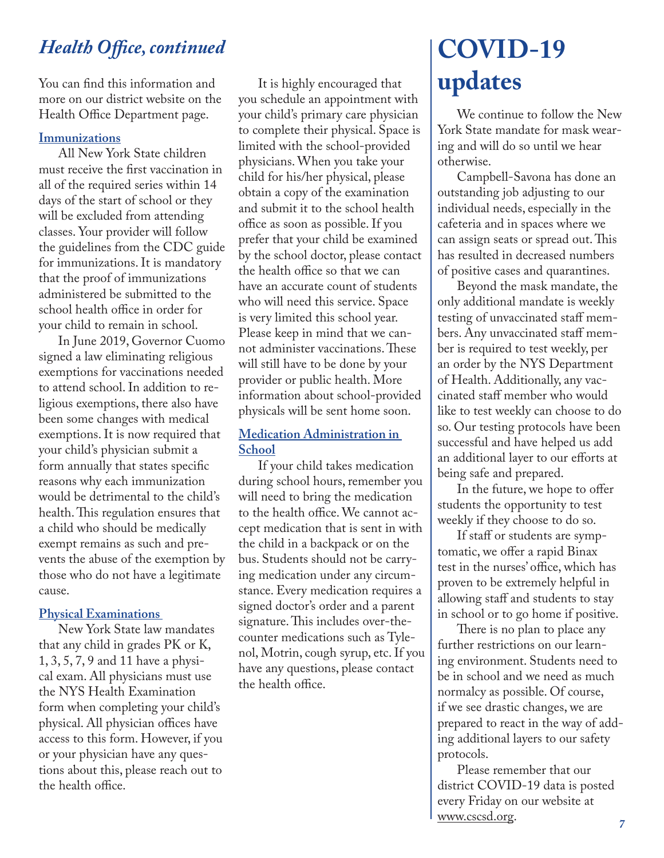#### *Health Office, continued*

You can find this information and more on our district website on the Health Office Department page.

#### **Immunizations**

All New York State children must receive the first vaccination in all of the required series within 14 days of the start of school or they will be excluded from attending classes. Your provider will follow the guidelines from the CDC guide for immunizations. It is mandatory that the proof of immunizations administered be submitted to the school health office in order for your child to remain in school.

In June 2019, Governor Cuomo signed a law eliminating religious exemptions for vaccinations needed to attend school. In addition to religious exemptions, there also have been some changes with medical exemptions. It is now required that your child's physician submit a form annually that states specific reasons why each immunization would be detrimental to the child's health. This regulation ensures that a child who should be medically exempt remains as such and prevents the abuse of the exemption by those who do not have a legitimate cause.

#### **Physical Examinations**

New York State law mandates that any child in grades PK or K, 1, 3, 5, 7, 9 and 11 have a physical exam. All physicians must use the NYS Health Examination form when completing your child's physical. All physician offices have access to this form. However, if you or your physician have any questions about this, please reach out to the health office.

It is highly encouraged that you schedule an appointment with your child's primary care physician to complete their physical. Space is limited with the school-provided physicians. When you take your child for his/her physical, please obtain a copy of the examination and submit it to the school health office as soon as possible. If you prefer that your child be examined by the school doctor, please contact the health office so that we can have an accurate count of students who will need this service. Space is very limited this school year. Please keep in mind that we cannot administer vaccinations. These will still have to be done by your provider or public health. More information about school-provided physicals will be sent home soon.

#### **Medication Administration in School**

If your child takes medication during school hours, remember you will need to bring the medication to the health office. We cannot accept medication that is sent in with the child in a backpack or on the bus. Students should not be carrying medication under any circumstance. Every medication requires a signed doctor's order and a parent signature. This includes over-thecounter medications such as Tylenol, Motrin, cough syrup, etc. If you have any questions, please contact the health office.

### **COVID-19 updates**

We continue to follow the New York State mandate for mask wearing and will do so until we hear otherwise.

Campbell-Savona has done an outstanding job adjusting to our individual needs, especially in the cafeteria and in spaces where we can assign seats or spread out. This has resulted in decreased numbers of positive cases and quarantines.

Beyond the mask mandate, the only additional mandate is weekly testing of unvaccinated staff members. Any unvaccinated staff member is required to test weekly, per an order by the NYS Department of Health. Additionally, any vaccinated staff member who would like to test weekly can choose to do so. Our testing protocols have been successful and have helped us add an additional layer to our efforts at being safe and prepared.

In the future, we hope to offer students the opportunity to test weekly if they choose to do so.

If staff or students are symptomatic, we offer a rapid Binax test in the nurses' office, which has proven to be extremely helpful in allowing staff and students to stay in school or to go home if positive.

There is no plan to place any further restrictions on our learning environment. Students need to be in school and we need as much normalcy as possible. Of course, if we see drastic changes, we are prepared to react in the way of adding additional layers to our safety protocols.

Please remember that our district COVID-19 data is posted every Friday on our website at www.cscsd.org.